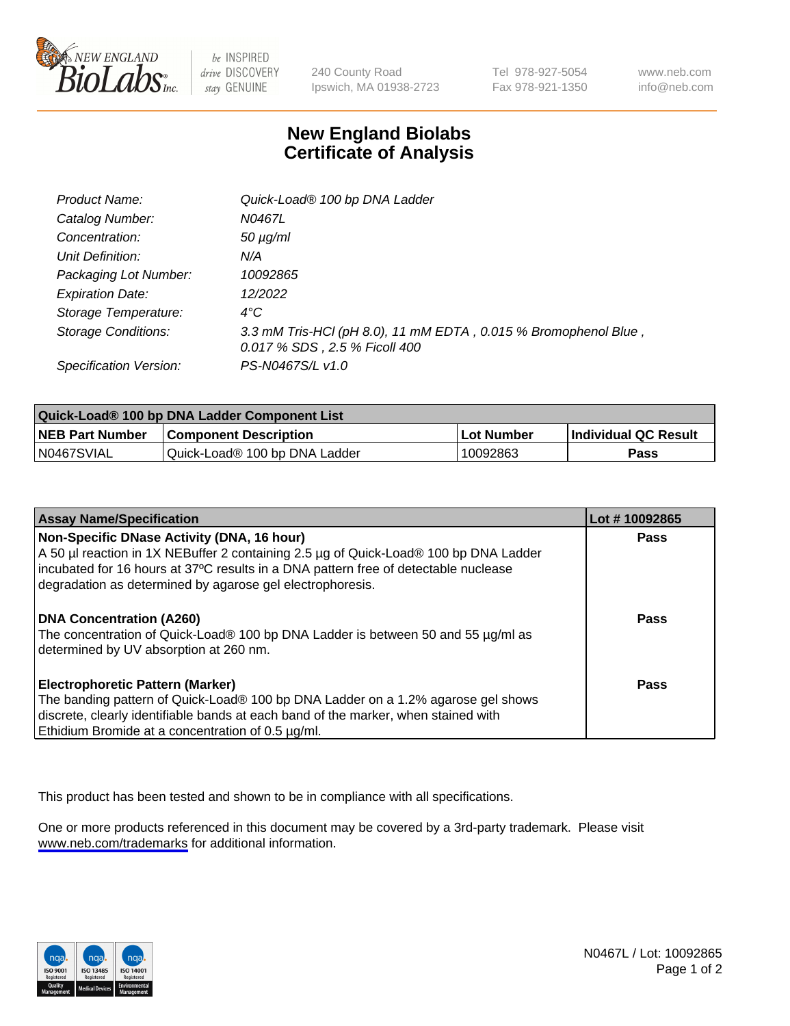

be INSPIRED drive DISCOVERY stay GENUINE

240 County Road Ipswich, MA 01938-2723 Tel 978-927-5054 Fax 978-921-1350

www.neb.com info@neb.com

## **New England Biolabs Certificate of Analysis**

| Product Name:              | Quick-Load® 100 bp DNA Ladder                                                                    |
|----------------------------|--------------------------------------------------------------------------------------------------|
| Catalog Number:            | N0467L                                                                                           |
| Concentration:             | <i>50 µg/ml</i>                                                                                  |
| Unit Definition:           | N/A                                                                                              |
| Packaging Lot Number:      | 10092865                                                                                         |
| <b>Expiration Date:</b>    | 12/2022                                                                                          |
| Storage Temperature:       | $4^{\circ}$ C                                                                                    |
| <b>Storage Conditions:</b> | 3.3 mM Tris-HCl (pH 8.0), 11 mM EDTA, 0.015 % Bromophenol Blue,<br>0.017 % SDS, 2.5 % Ficoll 400 |
| Specification Version:     | PS-N0467S/L v1.0                                                                                 |

| Quick-Load® 100 bp DNA Ladder Component List |                               |            |                             |  |
|----------------------------------------------|-------------------------------|------------|-----------------------------|--|
| <b>NEB Part Number</b>                       | <b>Component Description</b>  | Lot Number | <b>Individual QC Result</b> |  |
| N0467SVIAL                                   | Quick-Load® 100 bp DNA Ladder | 10092863   | Pass                        |  |

| <b>Assay Name/Specification</b>                                                                                                                                                                                                                                                        | Lot #10092865 |
|----------------------------------------------------------------------------------------------------------------------------------------------------------------------------------------------------------------------------------------------------------------------------------------|---------------|
| Non-Specific DNase Activity (DNA, 16 hour)<br>A 50 µl reaction in 1X NEBuffer 2 containing 2.5 µg of Quick-Load® 100 bp DNA Ladder<br>incubated for 16 hours at 37°C results in a DNA pattern free of detectable nuclease<br>degradation as determined by agarose gel electrophoresis. | <b>Pass</b>   |
| DNA Concentration (A260)<br>The concentration of Quick-Load® 100 bp DNA Ladder is between 50 and 55 µg/ml as<br>determined by UV absorption at 260 nm.                                                                                                                                 | <b>Pass</b>   |
| <b>Electrophoretic Pattern (Marker)</b><br>The banding pattern of Quick-Load® 100 bp DNA Ladder on a 1.2% agarose gel shows<br>discrete, clearly identifiable bands at each band of the marker, when stained with<br>Ethidium Bromide at a concentration of 0.5 µg/ml.                 | Pass          |

This product has been tested and shown to be in compliance with all specifications.

One or more products referenced in this document may be covered by a 3rd-party trademark. Please visit <www.neb.com/trademarks>for additional information.